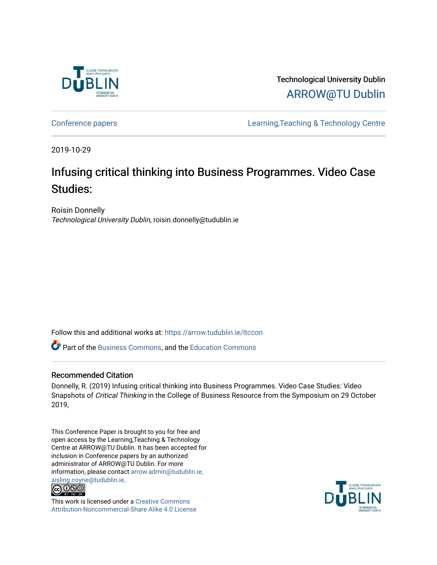

Technological University Dublin [ARROW@TU Dublin](https://arrow.tudublin.ie/) 

[Conference papers](https://arrow.tudublin.ie/ltccon) [Learning,Teaching & Technology Centre](https://arrow.tudublin.ie/ltc) 

2019-10-29

# Infusing critical thinking into Business Programmes. Video Case Studies:

Roisin Donnelly Technological University Dublin, roisin.donnelly@tudublin.ie

Follow this and additional works at: [https://arrow.tudublin.ie/ltccon](https://arrow.tudublin.ie/ltccon?utm_source=arrow.tudublin.ie%2Fltccon%2F49&utm_medium=PDF&utm_campaign=PDFCoverPages)

**P** Part of the [Business Commons](http://network.bepress.com/hgg/discipline/622?utm_source=arrow.tudublin.ie%2Fltccon%2F49&utm_medium=PDF&utm_campaign=PDFCoverPages), and the [Education Commons](http://network.bepress.com/hgg/discipline/784?utm_source=arrow.tudublin.ie%2Fltccon%2F49&utm_medium=PDF&utm_campaign=PDFCoverPages)

#### Recommended Citation

Donnelly, R. (2019) Infusing critical thinking into Business Programmes. Video Case Studies: Video Snapshots of Critical Thinking in the College of Business Resource from the Symposium on 29 October 2019,

This Conference Paper is brought to you for free and open access by the Learning,Teaching & Technology Centre at ARROW@TU Dublin. It has been accepted for inclusion in Conference papers by an authorized administrator of ARROW@TU Dublin. For more information, please contact [arrow.admin@tudublin.ie,](mailto:arrow.admin@tudublin.ie,%20aisling.coyne@tudublin.ie)  [aisling.coyne@tudublin.ie.](mailto:arrow.admin@tudublin.ie,%20aisling.coyne@tudublin.ie)<br>© 090



This work is licensed under a [Creative Commons](http://creativecommons.org/licenses/by-nc-sa/4.0/) [Attribution-Noncommercial-Share Alike 4.0 License](http://creativecommons.org/licenses/by-nc-sa/4.0/)

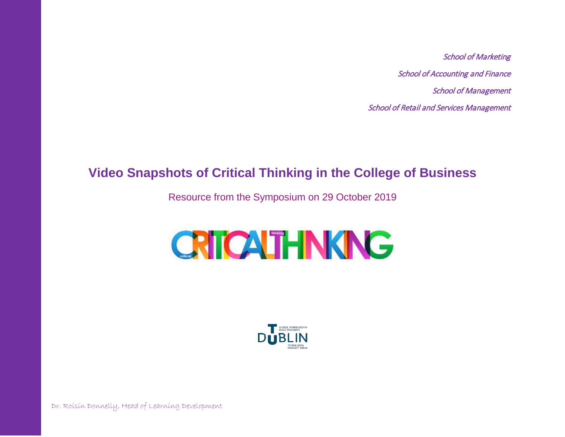School of Marketing School of Accounting and Finance School of Management School of Retail and Services Management

# **Video Snapshots of Critical Thinking in the College of Business**

Resource from the Symposium on 29 October 2019

# **CRICATHNKING**



Dr. Roisin Donnelly, Head of Learning Development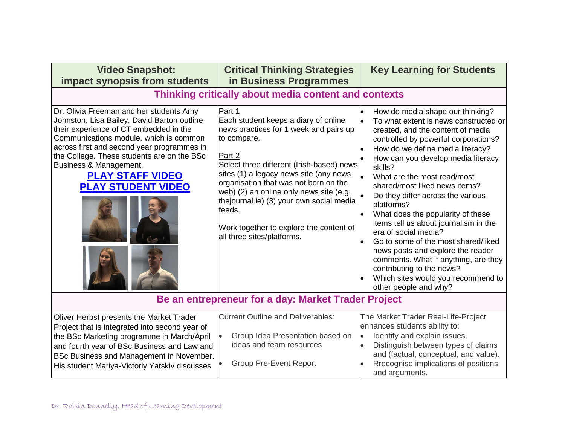| <b>Video Snapshot:</b><br>impact synopsis from students                                                                                                                                                                                                                                                                                                  | <b>Critical Thinking Strategies</b><br>in Business Programmes                                                                                                                                                                                                                                                                                                                                                               | <b>Key Learning for Students</b>                                                                                                                                                                                                                                                                                                                                                                                                                                                                                                                                                                                                                                                     |  |  |
|----------------------------------------------------------------------------------------------------------------------------------------------------------------------------------------------------------------------------------------------------------------------------------------------------------------------------------------------------------|-----------------------------------------------------------------------------------------------------------------------------------------------------------------------------------------------------------------------------------------------------------------------------------------------------------------------------------------------------------------------------------------------------------------------------|--------------------------------------------------------------------------------------------------------------------------------------------------------------------------------------------------------------------------------------------------------------------------------------------------------------------------------------------------------------------------------------------------------------------------------------------------------------------------------------------------------------------------------------------------------------------------------------------------------------------------------------------------------------------------------------|--|--|
| Thinking critically about media content and contexts                                                                                                                                                                                                                                                                                                     |                                                                                                                                                                                                                                                                                                                                                                                                                             |                                                                                                                                                                                                                                                                                                                                                                                                                                                                                                                                                                                                                                                                                      |  |  |
| Dr. Olivia Freeman and her students Amy<br>Johnston, Lisa Bailey, David Barton outline<br>their experience of CT embedded in the<br>Communications module, which is common<br>across first and second year programmes in<br>the College. These students are on the BSc<br>Business & Management.<br><b>PLAY STAFF VIDEO</b><br><b>PLAY STUDENT VIDEO</b> | Part 1<br>Each student keeps a diary of online<br>news practices for 1 week and pairs up<br>to compare.<br>Part 2<br>Select three different (Irish-based) news<br>sites (1) a legacy news site (any news<br>organisation that was not born on the<br>web) (2) an online only news site (e.g.<br>thejournal.ie) (3) your own social media<br>feeds.<br>Work together to explore the content of<br>all three sites/platforms. | How do media shape our thinking?<br>To what extent is news constructed or<br>created, and the content of media<br>controlled by powerful corporations?<br>How do we define media literacy?<br>How can you develop media literacy<br>skills?<br>What are the most read/most<br>shared/most liked news items?<br>Do they differ across the various<br>platforms?<br>What does the popularity of these<br>items tell us about journalism in the<br>era of social media?<br>Go to some of the most shared/liked<br>news posts and explore the reader<br>comments. What if anything, are they<br>contributing to the news?<br>Which sites would you recommend to<br>other people and why? |  |  |
| Be an entrepreneur for a day: Market Trader Project                                                                                                                                                                                                                                                                                                      |                                                                                                                                                                                                                                                                                                                                                                                                                             |                                                                                                                                                                                                                                                                                                                                                                                                                                                                                                                                                                                                                                                                                      |  |  |
| Oliver Herbst presents the Market Trader<br>Project that is integrated into second year of<br>the BSc Marketing programme in March/April<br>and fourth year of BSc Business and Law and<br>BSc Business and Management in November.<br>His student Mariya-Victoriy Yatskiv discusses                                                                     | <b>Current Outline and Deliverables:</b><br>Group Idea Presentation based on<br>ideas and team resources<br><b>Group Pre-Event Report</b>                                                                                                                                                                                                                                                                                   | The Market Trader Real-Life-Project<br>enhances students ability to:<br>Identify and explain issues.<br>$\bullet$<br>Distinguish between types of claims<br>and (factual, conceptual, and value).<br>Rrecognise implications of positions                                                                                                                                                                                                                                                                                                                                                                                                                                            |  |  |

and arguments.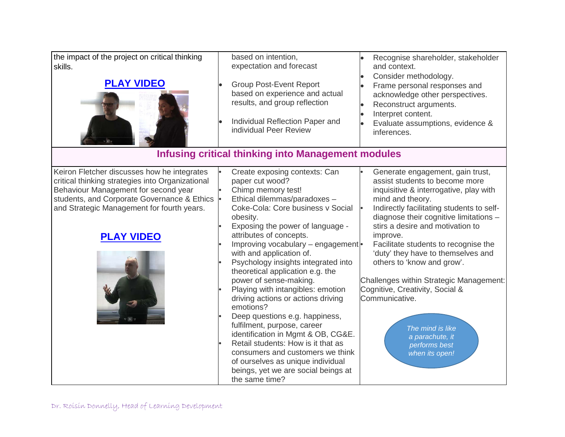the impact of the project on critical thinking skills.



based on intention, expectation and forecast

- Group Post-Event Report based on experience and actual results, and group reflection
- Individual Reflection Paper and individual Peer Review

• Recognise shareholder, stakeholder and context.

- Consider methodology.
- Frame personal responses and acknowledge other perspectives.
- Reconstruct arguments.
- Interpret content.
- Evaluate assumptions, evidence & inferences.

# **Infusing critical thinking into Management modules**

Keiron Fletcher discusses how he integrates critical thinking strategies into Organizational Behaviour Management for second year students, and Corporate Governance & Ethics and Strategic Management for fourth years.

## **[PLAY VIDEO](https://youtu.be/UsXSwjHucHw)**



- Create exposing contexts: Can paper cut wood?
- Chimp memory test!
- Ethical dilemmas/paradoxes –
- Coke-Cola: Core business v Social obesity.
- Exposing the power of language attributes of concepts.
- Improving vocabulary engagement with and application of.
- Psychology insights integrated into theoretical application e.g. the power of sense-making.
- Playing with intangibles: emotion driving actions or actions driving emotions?
- Deep questions e.g. happiness, fulfilment, purpose, career identification in Mgmt & OB, CG&E.
	- Retail students: How is it that as consumers and customers we think of ourselves as unique individual beings, yet we are social beings at the same time?

Generate engagement, gain trust, assist students to become more inquisitive & interrogative, play with mind and theory.

- Indirectly facilitating students to selfdiagnose their cognitive limitations – stirs a desire and motivation to improve.
- Facilitate students to recognise the 'duty' they have to themselves and others to 'know and grow'.

Challenges within Strategic Management: Cognitive, Creativity, Social & Communicative.

> *The mind is like a parachute, it performs best when its open!*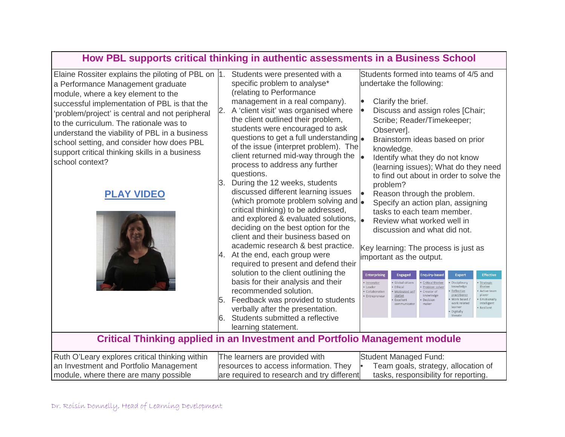# **How PBL supports critical thinking in authentic assessments in a Business School**

Students were presented with a

Elaine Rossiter explains the piloting of PBL on |1. a Performance Management graduate module, where a key element to the successful implementation of PBL is that the 'problem/project' is central and not peripheral to the curriculum. The rationale was to understand the viability of PBL in a business school setting, and consider how does PBL support critical thinking skills in a business school context?

#### **[PLAY VIDEO](https://youtu.be/rYk7ki0pTy0)**



specific problem to analyse\* (relating to Performance management in a real company). 2. A 'client visit' was organised where the client outlined their problem, students were encouraged to ask questions to get a full understanding of the issue (interpret problem). The client returned mid-way through the process to address any further questions.

3. During the 12 weeks, students discussed different learning issues (which promote problem solving and critical thinking) to be addressed, and explored & evaluated solutions,  $\bullet$ deciding on the best option for the client and their business based on academic research & best practice.

4. At the end, each group were required to present and defend their solution to the client outlining the basis for their analysis and their recommended solution.

5. Feedback was provided to students verbally after the presentation.

6. Students submitted a reflective learning statement.

Students formed into teams of 4/5 and undertake the following:

Clarify the brief.

 Discuss and assign roles [Chair; Scribe; Reader/Timekeeper; Observer].

 Brainstorm ideas based on prior knowledge.

 Identify what they do not know (learning issues); What do they need to find out about in order to solve the problem?

 Reason through the problem. Specify an action plan, assigning tasks to each team member. Review what worked well in discussion and what did not.

Key learning: The process is just as important as the output.

| <b>Enterprising</b>                                      | <b>Engaged</b>                                                                          | Enquiry-based                                                                              | <b>Expert</b>                                                                                                                       | <b>Effective</b>                                                                                 |
|----------------------------------------------------------|-----------------------------------------------------------------------------------------|--------------------------------------------------------------------------------------------|-------------------------------------------------------------------------------------------------------------------------------------|--------------------------------------------------------------------------------------------------|
| Innovator<br>· Leader<br>· Collaborative<br>Entrepreneur | · Global citizen<br>• Ethical<br>Motivated self<br>starter<br>Excellent<br>communicator | · Critical thinker<br>· Problem solver<br>· Creator of<br>knowledge<br>· Decision<br>maker | Disciplinary<br>٠<br>knowledge<br>Reflective<br>practitioner<br>Work based<br>۰<br>work related<br>learner<br>Digitally<br>literate | · Strategic<br>thinker<br>· Active team<br>player<br>· Emotionally<br>intelligent<br>· Resilient |

#### **Critical Thinking applied in an Investment and Portfolio Management module**

| Ruth O'Leary explores critical thinking within | The learners are provided with             | Student Managed Fund:                |
|------------------------------------------------|--------------------------------------------|--------------------------------------|
| an Investment and Portfolio Management         | resources to access information. They      | Team goals, strategy, allocation of  |
| module, where there are many possible          | are required to research and try different | tasks, responsibility for reporting. |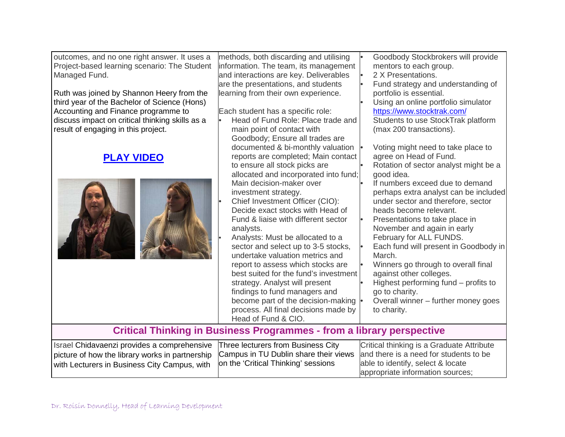outcomes, and no one right answer. It uses a Project-based learning scenario: The Student Managed Fund.

Ruth was joined by Shannon Heery from the third year of the Bachelor of Science (Hons) Accounting and Finance programme to discuss impact on critical thinking skills as a result of engaging in this project.

## **[PLAY VIDEO](https://youtu.be/M7Uan4kEg7g)**



methods, both discarding and utilising information. The team, its management and interactions are key. Deliverables are the presentations, and students learning from their own experience. Each student has a specific role: • Head of Fund Role: Place trade and main point of contact with Goodbody; Ensure all trades are documented & bi-monthly valuation reports are completed; Main contact to ensure all stock picks are allocated and incorporated into fund; Main decision-maker over investment strategy. • Chief Investment Officer (CIO): Decide exact stocks with Head of Fund & liaise with different sector analysts. • Analysts: Must be allocated to a sector and select up to 3-5 stocks, Goodbody Stockbrokers will provide mentors to each group. • 2 X Presentations. • Fund strategy and understanding of portfolio is essential. Using an online portfolio simulator <https://www.stocktrak.com/> Students to use StockTrak platform (max 200 transactions). • Voting might need to take place to agree on Head of Fund. • Rotation of sector analyst might be a good idea.

undertake valuation metrics and report to assess which stocks are best suited for the fund's investment strategy. Analyst will present findings to fund managers and become part of the decision-making process. All final decisions made by Head of Fund & CIO.

If numbers exceed due to demand perhaps extra analyst can be included under sector and therefore, sector heads become relevant. • Presentations to take place in November and again in early February for ALL FUNDS. • Each fund will present in Goodbody in March.

• Winners go through to overall final against other colleges.

- Highest performing fund profits to go to charity.
- Overall winner further money goes to charity.

### **Critical Thinking in Business Programmes - from a library perspective**

| Israel Chidavaenzi provides a comprehensive Three lecturers from Business City                                               | Critical thinking is a Graduate Attribute |
|------------------------------------------------------------------------------------------------------------------------------|-------------------------------------------|
| picture of how the library works in partnership Campus in TU Dublin share their views and there is a need for students to be |                                           |
| with Lecturers in Business City Campus, with   on the 'Critical Thinking' sessions                                           | able to identify, select & locate         |
|                                                                                                                              | appropriate information sources;          |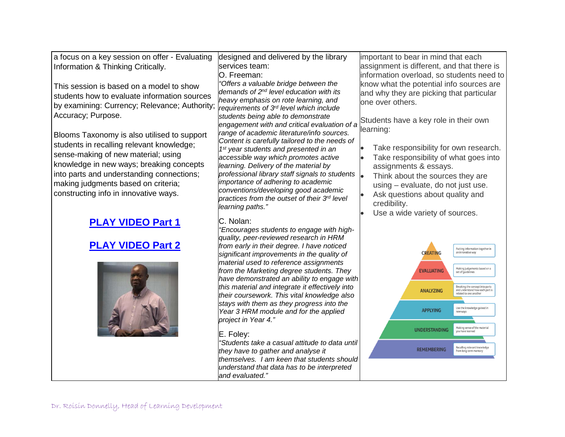| a focus on a key session on offer - Evaluating | designed and delivered by the library                                                       | important to bear in mind that each                                                                            |
|------------------------------------------------|---------------------------------------------------------------------------------------------|----------------------------------------------------------------------------------------------------------------|
| Information & Thinking Critically.             | services team:                                                                              | assignment is different, and that there is                                                                     |
|                                                | O. Freeman:                                                                                 | information overload, so students need to                                                                      |
| This session is based on a model to show       | 'Offers a valuable bridge between the                                                       | know what the potential info sources are                                                                       |
| students how to evaluate information sources   | demands of 2 <sup>nd</sup> level education with its                                         | and why they are picking that particular                                                                       |
| by examining: Currency; Relevance; Authority;  | heavy emphasis on rote learning, and                                                        | one over others.                                                                                               |
|                                                | requirements of 3rd level which include                                                     |                                                                                                                |
| Accuracy; Purpose.                             | students being able to demonstrate                                                          | Students have a key role in their own                                                                          |
|                                                | engagement with and critical evaluation of a                                                | learning:                                                                                                      |
| Blooms Taxonomy is also utilised to support    | range of academic literature/info sources.<br>Content is carefully tailored to the needs of |                                                                                                                |
| students in recalling relevant knowledge;      | 1 <sup>st</sup> year students and presented in an                                           | Take responsibility for own research.                                                                          |
| sense-making of new material; using            | accessible way which promotes active                                                        | Take responsibility of what goes into                                                                          |
| knowledge in new ways; breaking concepts       | learning. Delivery of the material by                                                       | assignments & essays.                                                                                          |
| into parts and understanding connections;      | professional library staff signals to students                                              | Think about the sources they are                                                                               |
| making judgments based on criteria;            | importance of adhering to academic                                                          | using - evaluate, do not just use.                                                                             |
| constructing info in innovative ways.          | conventions/developing good academic                                                        | Ask questions about quality and                                                                                |
|                                                | practices from the outset of their 3rd level                                                | credibility.                                                                                                   |
|                                                | learning paths."                                                                            | Use a wide variety of sources.                                                                                 |
|                                                | C. Nolan:                                                                                   |                                                                                                                |
| <b>PLAY VIDEO Part 1</b>                       | "Encourages students to engage with high-                                                   |                                                                                                                |
|                                                | quality, peer-reviewed research in HRM                                                      |                                                                                                                |
| <b>PLAY VIDEO Part 2</b>                       | from early in their degree. I have noticed                                                  | Putting information together in                                                                                |
|                                                | significant improvements in the quality of                                                  | <b>CREATING</b><br>an innovative way                                                                           |
|                                                | material used to reference assignments                                                      |                                                                                                                |
|                                                | from the Marketing degree students. They                                                    | Making judgements based on.<br>set of guidelines<br><b>EVALUATING</b>                                          |
|                                                | have demonstrated an ability to engage with                                                 |                                                                                                                |
|                                                | this material and integrate it effectively into                                             | Breaking the concept into parts<br><b>ANALYZING</b><br>and understand how each part is<br>elated to one anothe |
|                                                | their coursework. This vital knowledge also                                                 |                                                                                                                |
|                                                | stays with them as they progress into the<br>Year 3 HRM module and for the applied          | Use the knowledge gained in<br><b>APPLYING</b>                                                                 |
|                                                | project in Year 4."                                                                         |                                                                                                                |
|                                                |                                                                                             | Making sense of the<br><b>UNDERSTANDING</b><br>you have learner                                                |
|                                                | E. Foley:                                                                                   |                                                                                                                |
|                                                | "Students take a casual attitude to data until                                              | Recalling relevant knowledg                                                                                    |
|                                                | they have to gather and analyse it                                                          | <b>REMEMBERING</b><br>from long term memory                                                                    |
|                                                | themselves. I am keen that students should                                                  |                                                                                                                |
|                                                | understand that data has to be interpreted<br>and evaluated."                               |                                                                                                                |
|                                                |                                                                                             |                                                                                                                |